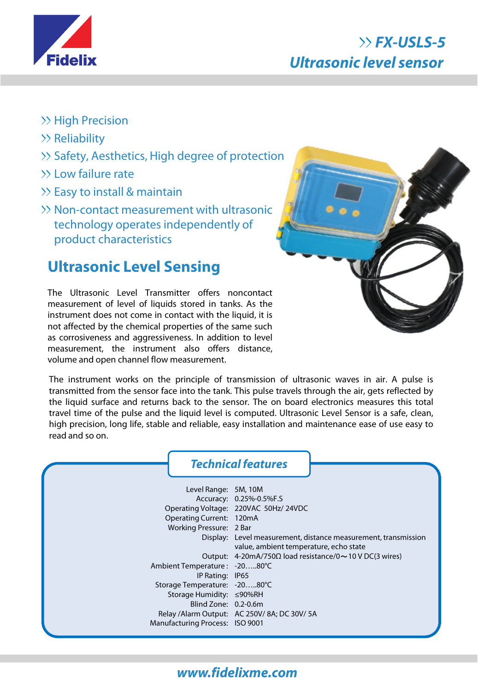

## **FX-USLS-5 Ultrasonic level sensor**

- $\gg$  High Precision
- $\gg$  Reliability
- >> Safety, Aesthetics, High degree of protection
- Low failure rate
- $\gg$  Easy to install & maintain
- Non-contact measurement with ultrasonic technology operates independently of product characteristics

## **Ultrasonic Level Sensing**

The Ultrasonic Level Transmitter offers noncontact measurement of level of liquids stored in tanks. As the instrument does not come in contact with the liquid, it is not affected by the chemical properties of the same such as corrosiveness and aggressiveness. In addition to level measurement, the instrument also offers distance, volume and open channel flow measurement.



The instrument works on the principle of transmission of ultrasonic waves in air. A pulse is transmitted from the sensor face into the tank. This pulse travels through the air, gets reflected by the liquid surface and returns back to the sensor. The on board electronics measures this total travel time of the pulse and the liquid level is computed. Ultrasonic Level Sensor is a safe, clean, high precision, long life, stable and reliable, easy installation and maintenance ease of use easy to read and so on.

# **Technical features**

| Level Range: 5M, 10M<br>Operating Current: 120mA<br>Working Pressure: 2 Bar      | Accuracy: 0.25%-0.5%F.S<br>Operating Voltage: 220VAC 50Hz/24VDC<br>Display: Level measurement, distance measurement, transmission |
|----------------------------------------------------------------------------------|-----------------------------------------------------------------------------------------------------------------------------------|
|                                                                                  | value, ambient temperature, echo state<br>Output: $4\text{-}20\text{mA}/750\Omega$ load resistance/0 ~ 10 V DC(3 wires)           |
| Ambient Temperature : -2080°C<br>IP Rating: IP65                                 |                                                                                                                                   |
| Storage Temperature: -2080°C<br>Storage Humidity: ≤90%RH<br>Blind Zone: 0.2-0.6m |                                                                                                                                   |
| Manufacturing Process: ISO 9001                                                  | Relay / Alarm Output: AC 250V/8A; DC 30V/5A                                                                                       |

#### **www.fidelixme.com**